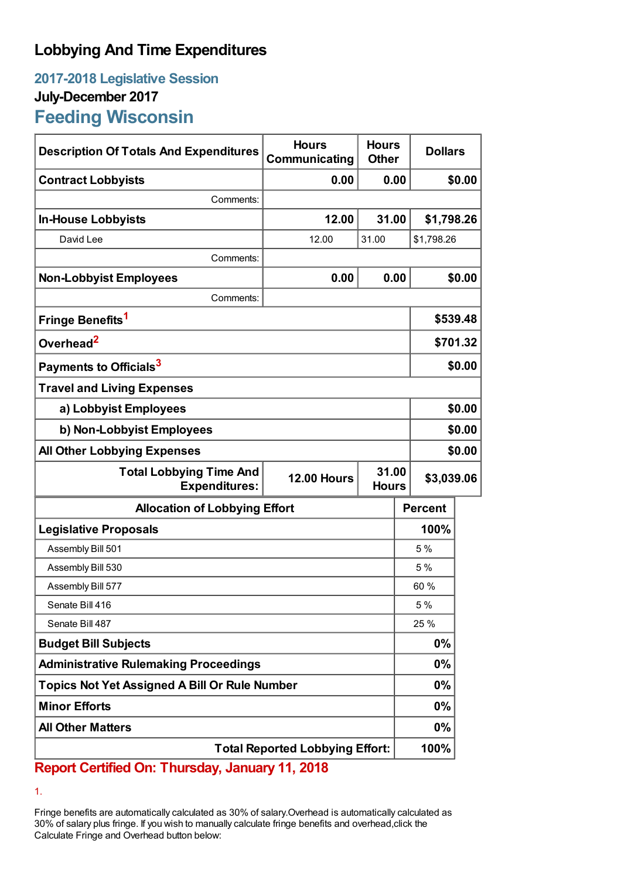# **Lobbying And Time Expenditures**

## **2017-2018 Legislative Session July-December 2017 Feeding Wisconsin**

| <b>Description Of Totals And Expenditures</b>                                                         | <b>Hours</b><br>Communicating | <b>Hours</b><br><b>Other</b> | <b>Dollars</b> |          |  |
|-------------------------------------------------------------------------------------------------------|-------------------------------|------------------------------|----------------|----------|--|
| <b>Contract Lobbyists</b>                                                                             | 0.00                          |                              | 0.00           | \$0.00   |  |
| Comments:                                                                                             |                               |                              |                |          |  |
| <b>In-House Lobbyists</b>                                                                             | 12.00                         | 31.00                        | \$1,798.26     |          |  |
| David Lee                                                                                             | 12.00                         | 31.00                        | \$1,798.26     |          |  |
| Comments:                                                                                             |                               |                              |                |          |  |
| <b>Non-Lobbyist Employees</b>                                                                         | 0.00                          |                              | 0.00           | \$0.00   |  |
| Comments:                                                                                             |                               |                              |                |          |  |
| Fringe Benefits <sup>1</sup>                                                                          |                               |                              |                | \$539.48 |  |
| Overhead <sup>2</sup>                                                                                 |                               |                              | \$701.32       |          |  |
| Payments to Officials <sup>3</sup>                                                                    |                               |                              |                | \$0.00   |  |
| <b>Travel and Living Expenses</b>                                                                     |                               |                              |                |          |  |
| a) Lobbyist Employees                                                                                 |                               |                              |                | \$0.00   |  |
| b) Non-Lobbyist Employees                                                                             |                               |                              |                | \$0.00   |  |
| <b>All Other Lobbying Expenses</b>                                                                    |                               |                              |                | \$0.00   |  |
| 31.00<br><b>Total Lobbying Time And</b><br><b>12.00 Hours</b><br><b>Expenditures:</b><br><b>Hours</b> |                               |                              | \$3,039.06     |          |  |
| <b>Allocation of Lobbying Effort</b>                                                                  |                               |                              | <b>Percent</b> |          |  |
| <b>Legislative Proposals</b>                                                                          |                               |                              | 100%           |          |  |
| Assembly Bill 501                                                                                     |                               |                              | 5 %            |          |  |
| Assembly Bill 530                                                                                     |                               |                              | 5 %            |          |  |
| Assembly Bill 577                                                                                     |                               |                              | 60 %           |          |  |
| Senate Bill 416                                                                                       |                               |                              | 5 %            |          |  |
| Senate Bill 487                                                                                       |                               |                              | 25 %           |          |  |
| <b>Budget Bill Subjects</b>                                                                           |                               |                              | $0\%$          |          |  |
| <b>Administrative Rulemaking Proceedings</b>                                                          |                               |                              | $0\%$          |          |  |
| <b>Topics Not Yet Assigned A Bill Or Rule Number</b>                                                  |                               |                              | $0\%$          |          |  |
| <b>Minor Efforts</b>                                                                                  |                               |                              | $0\%$          |          |  |
| <b>All Other Matters</b>                                                                              |                               |                              | 0%             |          |  |
| <b>Total Reported Lobbying Effort:</b>                                                                |                               |                              | 100%           |          |  |

### **Report Certified On: Thursday, January 11, 2018**

1.

Fringe benefits are automatically calculated as 30% of salary.Overhead is automatically calculated as 30% of salary plus fringe. If you wish to manually calculate fringe benefits and overhead,click the Calculate Fringe and Overhead button below: